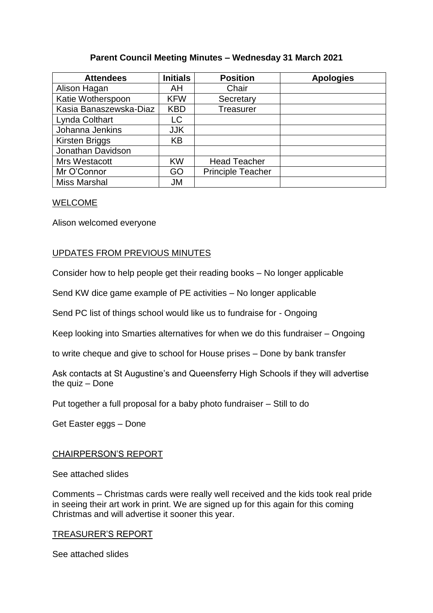# **Parent Council Meeting Minutes – Wednesday 31 March 2021**

| <b>Attendees</b>       | <b>Initials</b> | <b>Position</b>          | <b>Apologies</b> |
|------------------------|-----------------|--------------------------|------------------|
| Alison Hagan           | AH              | Chair                    |                  |
| Katie Wotherspoon      | <b>KFW</b>      | Secretary                |                  |
| Kasia Banaszewska-Diaz | <b>KBD</b>      | Treasurer                |                  |
| Lynda Colthart         | LC              |                          |                  |
| Johanna Jenkins        | <b>JJK</b>      |                          |                  |
| <b>Kirsten Briggs</b>  | KB              |                          |                  |
| Jonathan Davidson      |                 |                          |                  |
| Mrs Westacott          | <b>KW</b>       | <b>Head Teacher</b>      |                  |
| Mr O'Connor            | GO              | <b>Principle Teacher</b> |                  |
| <b>Miss Marshal</b>    | JM              |                          |                  |

# WELCOME

Alison welcomed everyone

# UPDATES FROM PREVIOUS MINUTES

Consider how to help people get their reading books – No longer applicable

Send KW dice game example of PE activities – No longer applicable

Send PC list of things school would like us to fundraise for - Ongoing

Keep looking into Smarties alternatives for when we do this fundraiser – Ongoing

to write cheque and give to school for House prises – Done by bank transfer

Ask contacts at St Augustine's and Queensferry High Schools if they will advertise the quiz – Done

Put together a full proposal for a baby photo fundraiser – Still to do

Get Easter eggs – Done

# CHAIRPERSON'S REPORT

See attached slides

Comments – Christmas cards were really well received and the kids took real pride in seeing their art work in print. We are signed up for this again for this coming Christmas and will advertise it sooner this year.

#### TREASURER'S REPORT

See attached slides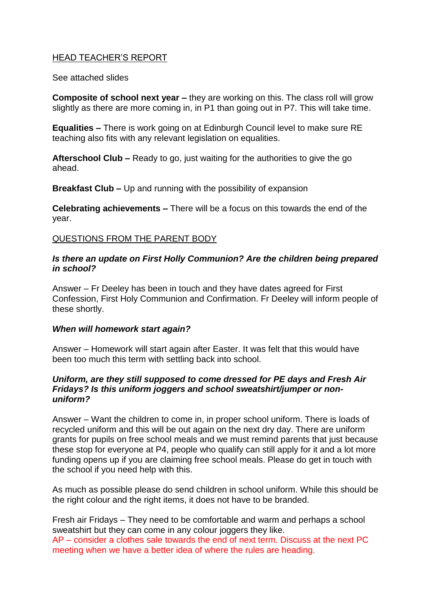# HEAD TEACHER'S REPORT

See attached slides

**Composite of school next year –** they are working on this. The class roll will grow slightly as there are more coming in, in P1 than going out in P7. This will take time.

**Equalities –** There is work going on at Edinburgh Council level to make sure RE teaching also fits with any relevant legislation on equalities.

**Afterschool Club –** Ready to go, just waiting for the authorities to give the go ahead.

**Breakfast Club –** Up and running with the possibility of expansion

**Celebrating achievements –** There will be a focus on this towards the end of the year.

# QUESTIONS FROM THE PARENT BODY

### *Is there an update on First Holly Communion? Are the children being prepared in school?*

Answer – Fr Deeley has been in touch and they have dates agreed for First Confession, First Holy Communion and Confirmation. Fr Deeley will inform people of these shortly.

# *When will homework start again?*

Answer – Homework will start again after Easter. It was felt that this would have been too much this term with settling back into school.

### *Uniform, are they still supposed to come dressed for PE days and Fresh Air Fridays? Is this uniform joggers and school sweatshirt/jumper or nonuniform?*

Answer – Want the children to come in, in proper school uniform. There is loads of recycled uniform and this will be out again on the next dry day. There are uniform grants for pupils on free school meals and we must remind parents that just because these stop for everyone at P4, people who qualify can still apply for it and a lot more funding opens up if you are claiming free school meals. Please do get in touch with the school if you need help with this.

As much as possible please do send children in school uniform. While this should be the right colour and the right items, it does not have to be branded.

Fresh air Fridays – They need to be comfortable and warm and perhaps a school sweatshirt but they can come in any colour joggers they like. AP – consider a clothes sale towards the end of next term. Discuss at the next PC meeting when we have a better idea of where the rules are heading.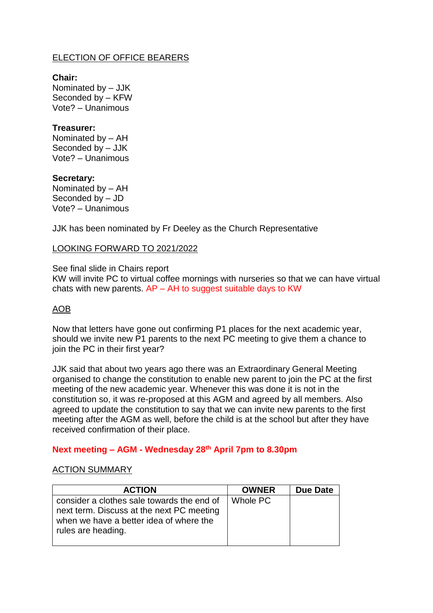# ELECTION OF OFFICE BEARERS

#### **Chair:** Nominated by – JJK Seconded by – KFW Vote? – Unanimous

# **Treasurer:**

Nominated by – AH Seconded by – JJK Vote? – Unanimous

**Secretary:** Nominated by – AH Seconded by – JD Vote? – Unanimous

JJK has been nominated by Fr Deeley as the Church Representative

### LOOKING FORWARD TO 2021/2022

See final slide in Chairs report KW will invite PC to virtual coffee mornings with nurseries so that we can have virtual chats with new parents.  $AP - AH$  to suggest suitable days to KW

# AOB

Now that letters have gone out confirming P1 places for the next academic year, should we invite new P1 parents to the next PC meeting to give them a chance to join the PC in their first year?

JJK said that about two years ago there was an Extraordinary General Meeting organised to change the constitution to enable new parent to join the PC at the first meeting of the new academic year. Whenever this was done it is not in the constitution so, it was re-proposed at this AGM and agreed by all members. Also agreed to update the constitution to say that we can invite new parents to the first meeting after the AGM as well, before the child is at the school but after they have received confirmation of their place.

# **Next meeting – AGM - Wednesday 28th April 7pm to 8.30pm**

# ACTION SUMMARY

| <b>ACTION</b>                                                                        | <b>OWNER</b> | Due Date |
|--------------------------------------------------------------------------------------|--------------|----------|
| consider a clothes sale towards the end of                                           | Whole PC     |          |
| next term. Discuss at the next PC meeting<br>when we have a better idea of where the |              |          |
| I rules are heading.                                                                 |              |          |